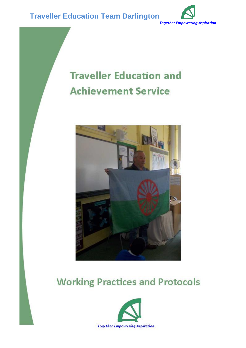

# **Traveller Education and Achievement Service**



## **Working Practices and Protocols**

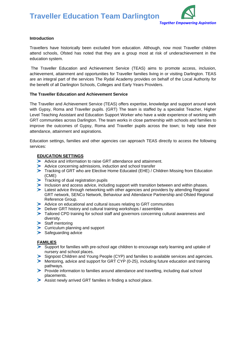

#### **Introduction**

Travellers have historically been excluded from education. Although, now most Traveller children attend schools, Ofsted has noted that they are a group most at risk of underachievement in the education system.

The Traveller Education and Achievement Service (TEAS) aims to promote access, inclusion, achievement, attainment and opportunities for Traveller families living in or visiting Darlington. TEAS are an integral part of the services The Rydal Academy provides on behalf of the Local Authority for the benefit of all Darlington Schools, Colleges and Early Years Providers.

#### **The Traveller Education and Achievement Service**

The Traveller and Achievement Service (TEAS) offers expertise, knowledge and support around work with Gypsy, Roma and Traveller pupils. (GRT) The team is staffed by a specialist Teacher, Higher Level Teaching Assistant and Education Support Worker who have a wide experience of working with GRT communities across Darlington. The team works in close partnership with schools and families to improve the outcomes of Gypsy, Roma and Traveller pupils across the town; to help raise their attendance, attainment and aspirations.

Education settings, families and other agencies can approach TEAS directly to access the following services:

#### **EDUCATION SETTINGS**

- Advice and information to raise GRT attendance and attainment.
- Advice concerning admissions, induction and school transfer
- Tracking of GRT who are Elective Home Educated (EHE) / Children Missing from Education
- (CME)  $\blacktriangleright$  Tracking of dual registration pupils
- Inclusion and access advice, including support with transition between and within phases.
- **Example 2** Latest advice through networking with other agencies and providers by attending Regional GRT network, SENCo Network, Behaviour and Attendance Partnership and Ofsted Regional Reference Group.
- Advice on educational and cultural issues relating to GRT communities
- Deliver GRT history and cultural training workshops / assemblies
- Tailored CPD training for school staff and governors concerning cultural awareness and diversity.
- $\blacktriangleright$  Staff mentoring
- **Curriculum planning and support**
- $\blacktriangleright$  Safeguarding advice

#### **FAMILIES**

- Support for families with pre-school age children to encourage early learning and uptake of nursery and school places.
- Signpost Children and Young People (CYP) and families to available services and agencies.
- Mentoring, advice and support for GRT CYP (0-25), including future education and training pathways.
- Provide information to families around attendance and travelling, including dual school placements.
- Assist newly arrived GRT families in finding a school place.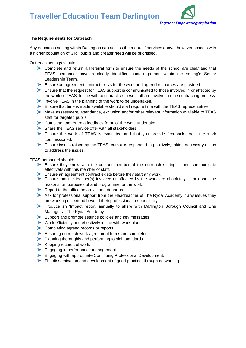

#### **The Requirements for Outreach**

Any education setting within Darlington can access the menu of services above, however schools with a higher population of GRT pupils and greater need will be prioritised.

Outreach settings should:

- Complete and return a Referral form to ensure the needs of the school are clear and that TEAS personnel have a clearly identified contact person within the setting's Senior Leadership Team.
- Ensure an agreement contract exists for the work and agreed resources are provided.
- Ensure that the request for TEAS support is communicated to those involved in or affected by the work of TEAS. In line with best practice these staff are involved in the contracting process.
- Involve TEAS in the planning of the work to be undertaken.
- $\blacktriangleright$  Ensure that time is made available should staff require time with the TEAS representative.
- Make assessment, attendance, exclusion and/or other relevant information available to TEAS staff for targeted pupils.
- Complete and return a feedback form for the work undertaken.
- Share the TEAS service offer with all stakeholders.
- Ensure the work of TEAS is evaluated and that you provide feedback about the work commissioned.
- Ensure issues raised by the TEAS team are responded to positively, taking necessary action to address the issues.

TEAS personnel should:

- Ensure they know who the contact member of the outreach setting is and communicate effectively with this member of staff.
- Ensure an agreement contract exists before they start any work.
- Ensure that the teacher(s) involved or affected by the work are absolutely clear about the reasons for, purposes of and programme for the work.
- Report to the office on arrival and departure.
- Ask for professional support from the Headteacher of The Rydal Academy if any issues they are working on extend beyond their professional responsibility.
- Produce an 'Impact report' annually to share with Darlington Borough Council and Line Manager at The Rydal Academy.
- Support and promote settings policies and key messages.
- $\triangleright$  Work efficiently and effectively in line with work plans.
- Completing agreed records or reports.
- Ensuring outreach work agreement forms are completed
- **Planning thoroughly and performing to high standards.**
- $\blacktriangleright$  Keeping records of work.
- **Engaging in performance management.**
- **Engaging with appropriate Continuing Professional Development.**
- The dissemination and development of good practice, through networking.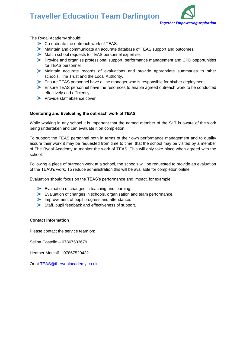

The Rydal Academy should:

- Co-ordinate the outreach work of TEAS.
- Maintain and communicate an accurate database of TEAS support and outcomes.
- Match school requests to TEAS personnel expertise.
- Provide and organise professional support, performance management and CPD opportunities for TEAS personnel.
- Maintain accurate records of evaluations and provide appropriate summaries to other schools, The Trust and the Local Authority.
- Ensure TEAS personnel have a line manager who is responsible for his/her deployment.
- Ensure TEAS personnel have the resources to enable agreed outreach work to be conducted effectively and efficiently.
- $\blacktriangleright$  Provide staff absence cover

#### **Monitoring and Evaluating the outreach work of TEAS**

While working in any school it is important that the named member of the SLT is aware of the work being undertaken and can evaluate it on completion.

To support the TEAS personnel both in terms of their own performance management and to quality assure their work it may be requested from time to time, that the school may be visited by a member of The Rydal Academy to monitor the work of TEAS. This will only take place when agreed with the school.

Following a piece of outreach work at a school, the schools will be requested to provide an evaluation of the TEAS's work. To reduce administration this will be available for completion online.

Evaluation should focus on the TEAS's performance and impact, for example:

- Evaluation of changes in teaching and learning.
- Evaluation of changes in schools, organisation and team performance.
- Improvement of pupil progress and attendance.
- Staff, pupil feedback and effectiveness of support.

#### **Contact information**

Please contact the service team on:

Selina Costello – 07867503679

Heather Metcalf – 07867520432

Or at [TEAS@therydalacademy.co.uk](mailto:TEAS@therydalacademy.co.uk)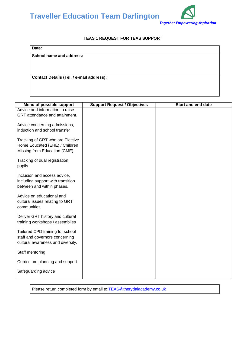

#### **TEAS 1 REQUEST FOR TEAS SUPPORT**

| Date:                                    |  |  |
|------------------------------------------|--|--|
| School name and address:                 |  |  |
|                                          |  |  |
|                                          |  |  |
| Contact Details (Tel. / e-mail address): |  |  |
|                                          |  |  |
|                                          |  |  |

| Menu of possible support                                                                                | <b>Support Request / Objectives</b> | <b>Start and end date</b> |
|---------------------------------------------------------------------------------------------------------|-------------------------------------|---------------------------|
| Advice and information to raise<br>GRT attendance and attainment.                                       |                                     |                           |
| Advice concerning admissions,<br>induction and school transfer                                          |                                     |                           |
| Tracking of GRT who are Elective<br>Home Educated (EHE) / Children<br>Missing from Education (CME)      |                                     |                           |
| Tracking of dual registration<br>pupils                                                                 |                                     |                           |
| Inclusion and access advice,<br>including support with transition<br>between and within phases.         |                                     |                           |
| Advice on educational and<br>cultural issues relating to GRT<br>communities                             |                                     |                           |
| Deliver GRT history and cultural<br>training workshops / assemblies                                     |                                     |                           |
| Tailored CPD training for school<br>staff and governors concerning<br>cultural awareness and diversity. |                                     |                           |
| Staff mentoring                                                                                         |                                     |                           |
| Curriculum planning and support                                                                         |                                     |                           |
| Safeguarding advice                                                                                     |                                     |                           |

Please return completed form by email to:**TEAS@therydalacademy.co.uk**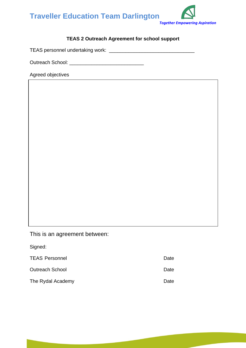

#### **TEAS 2 Outreach Agreement for school support**

TEAS personnel undertaking work: \_\_\_\_\_\_\_\_\_\_\_\_\_\_\_\_\_\_\_\_\_\_\_\_\_\_\_\_\_\_\_

Outreach School: \_\_\_\_\_\_\_\_\_\_\_\_\_\_\_\_\_\_\_\_\_\_\_\_\_\_\_

Agreed objectives

This is an agreement between:

| Signed:                |      |
|------------------------|------|
| <b>TEAS Personnel</b>  | Date |
| <b>Outreach School</b> | Date |
| The Rydal Academy      | Date |